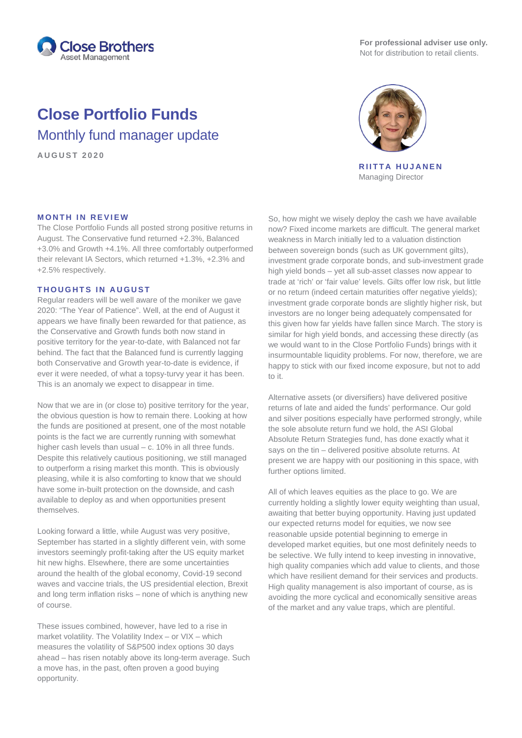

**For professional adviser use only.** Not for distribution to retail clients.

# **Close Portfolio Funds** Monthly fund manager update

**AUGUST 2020**



**RIITTA HUJANEN** Managing Director

## **MONTH IN REVIEW**

The Close Portfolio Funds all posted strong positive returns in August. The Conservative fund returned +2.3%, Balanced +3.0% and Growth +4.1%. All three comfortably outperformed their relevant IA Sectors, which returned +1.3%, +2.3% and +2.5% respectively.

### **THOUGHTS IN AUGUST**

Regular readers will be well aware of the moniker we gave 2020: "The Year of Patience". Well, at the end of August it appears we have finally been rewarded for that patience, as the Conservative and Growth funds both now stand in positive territory for the year-to-date, with Balanced not far behind. The fact that the Balanced fund is currently lagging both Conservative and Growth year-to-date is evidence, if ever it were needed, of what a topsy-turvy year it has been. This is an anomaly we expect to disappear in time.

Now that we are in (or close to) positive territory for the year, the obvious question is how to remain there. Looking at how the funds are positioned at present, one of the most notable points is the fact we are currently running with somewhat higher cash levels than usual – c. 10% in all three funds. Despite this relatively cautious positioning, we still managed to outperform a rising market this month. This is obviously pleasing, while it is also comforting to know that we should have some in-built protection on the downside, and cash available to deploy as and when opportunities present themselves.

Looking forward a little, while August was very positive, September has started in a slightly different vein, with some investors seemingly profit-taking after the US equity market hit new highs. Elsewhere, there are some uncertainties around the health of the global economy, Covid-19 second waves and vaccine trials, the US presidential election, Brexit and long term inflation risks – none of which is anything new of course.

These issues combined, however, have led to a rise in market volatility. The Volatility Index – or VIX – which measures the volatility of S&P500 index options 30 days ahead – has risen notably above its long-term average. Such a move has, in the past, often proven a good buying opportunity.

So, how might we wisely deploy the cash we have available now? Fixed income markets are difficult. The general market weakness in March initially led to a valuation distinction between sovereign bonds (such as UK government gilts), investment grade corporate bonds, and sub-investment grade high yield bonds – yet all sub-asset classes now appear to trade at 'rich' or 'fair value' levels. Gilts offer low risk, but little or no return (indeed certain maturities offer negative yields); investment grade corporate bonds are slightly higher risk, but investors are no longer being adequately compensated for this given how far yields have fallen since March. The story is similar for high yield bonds, and accessing these directly (as we would want to in the Close Portfolio Funds) brings with it insurmountable liquidity problems. For now, therefore, we are happy to stick with our fixed income exposure, but not to add to it.

Alternative assets (or diversifiers) have delivered positive returns of late and aided the funds' performance. Our gold and silver positions especially have performed strongly, while the sole absolute return fund we hold, the ASI Global Absolute Return Strategies fund, has done exactly what it says on the tin – delivered positive absolute returns. At present we are happy with our positioning in this space, with further options limited.

All of which leaves equities as the place to go. We are currently holding a slightly lower equity weighting than usual, awaiting that better buying opportunity. Having just updated our expected returns model for equities, we now see reasonable upside potential beginning to emerge in developed market equities, but one most definitely needs to be selective. We fully intend to keep investing in innovative, high quality companies which add value to clients, and those which have resilient demand for their services and products. High quality management is also important of course, as is avoiding the more cyclical and economically sensitive areas of the market and any value traps, which are plentiful.